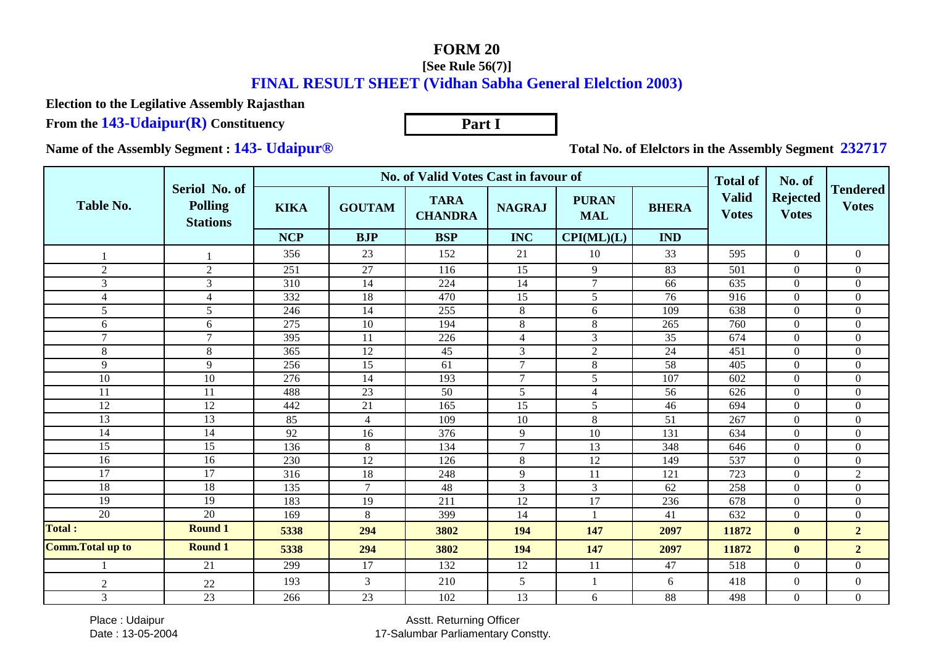## **FORM 20**

## **[See Rule 56(7)]**

## **FINAL RESULT SHEET (Vidhan Sabha General Elelction 2003)**

**Part I**

**Election to the Legilative Assembly Rajasthan**

**From the 143-Udaipur(R) Constituency**

**Name of the Assembly Segment : 143- Udaipur®**

**Total No. of Elelctors in the Assembly Segment 232717**

|                          |                                                    |             | <b>No. of Valid Votes Cast in favour of</b> |                               | <b>Total of</b> | No. of                     |              |                              |                                 |                                 |
|--------------------------|----------------------------------------------------|-------------|---------------------------------------------|-------------------------------|-----------------|----------------------------|--------------|------------------------------|---------------------------------|---------------------------------|
| Table No.                | Seriol No. of<br><b>Polling</b><br><b>Stations</b> | <b>KIKA</b> | <b>GOUTAM</b>                               | <b>TARA</b><br><b>CHANDRA</b> | <b>NAGRAJ</b>   | <b>PURAN</b><br><b>MAL</b> | <b>BHERA</b> | <b>Valid</b><br><b>Votes</b> | <b>Rejected</b><br><b>Votes</b> | <b>Tendered</b><br><b>Votes</b> |
|                          |                                                    | <b>NCP</b>  | <b>BJP</b>                                  | <b>BSP</b>                    | <b>INC</b>      | CPI(ML)(L)                 | <b>IND</b>   |                              |                                 |                                 |
|                          |                                                    | 356         | 23                                          | 152                           | 21              | 10                         | 33           | 595                          | $\overline{0}$                  | $\boldsymbol{0}$                |
| $\overline{2}$           | $\overline{2}$                                     | 251         | 27                                          | 116                           | 15              | 9                          | 83           | 501                          | $\overline{0}$                  | $\overline{0}$                  |
| 3                        | 3                                                  | 310         | 14                                          | 224                           | 14              | 7                          | 66           | 635                          | $\mathbf{0}$                    | $\boldsymbol{0}$                |
| $\overline{4}$           | $\overline{4}$                                     | 332         | 18                                          | 470                           | 15              | 5                          | 76           | 916                          | $\Omega$                        | $\overline{0}$                  |
| 5                        | 5                                                  | 246         | 14                                          | 255                           | $8\,$           | 6                          | 109          | 638                          | $\Omega$                        | $\overline{0}$                  |
| 6                        | 6                                                  | 275         | 10                                          | 194                           | $\,8\,$         | $\,8\,$                    | 265          | 760                          | $\mathbf{0}$                    | $\overline{0}$                  |
| $\overline{7}$           | $\overline{7}$                                     | 395         | 11                                          | 226                           | $\overline{4}$  | $\overline{3}$             | 35           | 674                          | $\boldsymbol{0}$                | $\overline{0}$                  |
| $8\,$                    | 8                                                  | 365         | 12                                          | 45                            | 3               | 2                          | 24           | 451                          | $\Omega$                        | $\boldsymbol{0}$                |
| 9                        | 9                                                  | 256         | 15                                          | 61                            | $\overline{7}$  | 8                          | 58           | 405                          | $\boldsymbol{0}$                | $\overline{0}$                  |
| 10                       | 10                                                 | 276         | 14                                          | 193                           | $\tau$          | 5                          | 107          | 602                          | $\overline{0}$                  | $\overline{0}$                  |
| 11                       | 11                                                 | 488         | $\overline{23}$                             | 50                            | 5               | $\overline{4}$             | 56           | 626                          | $\boldsymbol{0}$                | $\overline{0}$                  |
| 12                       | 12                                                 | 442         | 21                                          | 165                           | 15              | 5                          | 46           | 694                          | $\boldsymbol{0}$                | $\overline{0}$                  |
| 13                       | 13                                                 | 85          | $\overline{4}$                              | 109                           | 10              | 8                          | 51           | 267                          | $\Omega$                        | $\overline{0}$                  |
| 14                       | 14                                                 | 92          | 16                                          | 376                           | 9               | 10                         | 131          | 634                          | $\boldsymbol{0}$                | $\overline{0}$                  |
| 15                       | 15                                                 | 136         | $\,8\,$                                     | 134                           | $\overline{7}$  | 13                         | 348          | 646                          | $\boldsymbol{0}$                | $\boldsymbol{0}$                |
| 16                       | 16                                                 | 230         | 12                                          | 126                           | $8\,$           | 12                         | 149          | 537                          | $\boldsymbol{0}$                | $\overline{0}$                  |
| 17                       | 17                                                 | 316         | 18                                          | 248                           | 9               | 11                         | 121          | 723                          | $\boldsymbol{0}$                | $\overline{2}$                  |
| 18                       | 18                                                 | 135         | $\overline{7}$                              | 48                            | 3               | 3                          | 62           | 258                          | $\Omega$                        | $\Omega$                        |
| 19                       | 19                                                 | 183         | 19                                          | 211                           | 12              | 17                         | 236          | 678                          | $\boldsymbol{0}$                | $\boldsymbol{0}$                |
| 20                       | 20                                                 | 169         | 8                                           | 399                           | 14              |                            | 41           | 632                          | $\boldsymbol{0}$                | $\overline{0}$                  |
| <b>Total:</b>            | <b>Round 1</b>                                     | 5338        | 294                                         | 3802                          | 194             | 147                        | 2097         | 11872                        | $\bf{0}$                        | $\overline{2}$                  |
| <b>Comm. Total up to</b> | <b>Round 1</b>                                     | 5338        | 294                                         | 3802                          | 194             | 147                        | 2097         | 11872                        | $\bf{0}$                        | $\overline{2}$                  |
|                          | 21                                                 | 299         | 17                                          | 132                           | 12              | 11                         | 47           | 518                          | $\overline{0}$                  | $\overline{0}$                  |
| $\boldsymbol{2}$         | 22                                                 | 193         | 3                                           | 210                           | 5               | $\mathbf{1}$               | 6            | 418                          | $\Omega$                        | $\overline{0}$                  |
| $\mathfrak{Z}$           | 23                                                 | 266         | 23                                          | 102                           | 13              | 6                          | 88           | 498                          | $\overline{0}$                  | $\overline{0}$                  |

 Place : UdaipurDate : 13-05-2004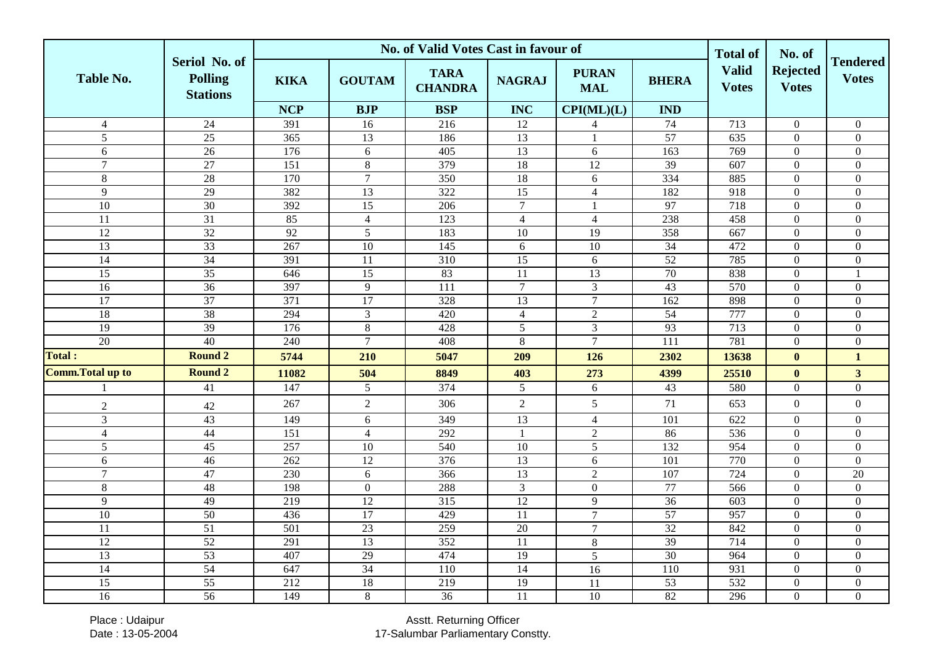|                          |                                                    |                  |                 | No. of Valid Votes Cast in favour of |                  |                            |                 | <b>Total of</b>              | No. of                          |                                 |
|--------------------------|----------------------------------------------------|------------------|-----------------|--------------------------------------|------------------|----------------------------|-----------------|------------------------------|---------------------------------|---------------------------------|
| <b>Table No.</b>         | Seriol No. of<br><b>Polling</b><br><b>Stations</b> | <b>KIKA</b>      | <b>GOUTAM</b>   | <b>TARA</b><br><b>CHANDRA</b>        | <b>NAGRAJ</b>    | <b>PURAN</b><br><b>MAL</b> | <b>BHERA</b>    | <b>Valid</b><br><b>Votes</b> | <b>Rejected</b><br><b>Votes</b> | <b>Tendered</b><br><b>Votes</b> |
|                          |                                                    | <b>NCP</b>       | <b>BJP</b>      | <b>BSP</b>                           | <b>INC</b>       | CPI(ML)(L)                 | <b>IND</b>      |                              |                                 |                                 |
| $\overline{4}$           | $\overline{24}$                                    | 391              | 16              | $\overline{216}$                     | 12               | 4                          | 74              | $\overline{713}$             | $\overline{0}$                  | $\mathbf{0}$                    |
| $\sqrt{5}$               | 25                                                 | 365              | 13              | 186                                  | 13               | -1                         | 57              | 635                          | $\boldsymbol{0}$                | $\boldsymbol{0}$                |
| 6                        | 26                                                 | 176              | 6               | 405                                  | 13               | 6                          | 163             | 769                          | $\mathbf{0}$                    | $\boldsymbol{0}$                |
| $\overline{7}$           | 27                                                 | $\overline{151}$ | $\overline{8}$  | 379                                  | 18               | $\overline{12}$            | 39              | $\overline{607}$             | $\overline{0}$                  | $\overline{0}$                  |
| 8                        | 28                                                 | 170              | $\overline{7}$  | 350                                  | 18               | $6\,$                      | 334             | 885                          | $\boldsymbol{0}$                | $\boldsymbol{0}$                |
| 9                        | $\overline{29}$                                    | 382              | 13              | 322                                  | $\overline{15}$  | $\overline{4}$             | 182             | 918                          | $\mathbf{0}$                    | $\boldsymbol{0}$                |
| $\overline{10}$          | $\overline{30}$                                    | 392              | 15              | 206                                  | $\boldsymbol{7}$ | $\mathbf{1}$               | 97              | 718                          | $\boldsymbol{0}$                | $\boldsymbol{0}$                |
| $\overline{11}$          | $\overline{31}$                                    | 85               | $\overline{4}$  | 123                                  | $\overline{4}$   | $\overline{4}$             | 238             | 458                          | $\overline{0}$                  | $\overline{0}$                  |
| 12                       | 32                                                 | 92               | 5               | 183                                  | 10               | 19                         | 358             | 667                          | $\overline{0}$                  | $\overline{0}$                  |
| 13                       | $\overline{33}$                                    | 267              | 10              | 145                                  | 6                | 10                         | 34              | 472                          | $\mathbf{0}$                    | $\boldsymbol{0}$                |
| $\overline{14}$          | $\overline{34}$                                    | 391              | 11              | $\overline{310}$                     | $\overline{15}$  | 6                          | $\overline{52}$ | 785                          | $\boldsymbol{0}$                | $\boldsymbol{0}$                |
| 15                       | $\overline{35}$                                    | 646              | 15              | 83                                   | 11               | 13                         | 70              | 838                          | $\overline{0}$                  |                                 |
| $\overline{16}$          | $\overline{36}$                                    | 397              | $\overline{9}$  | $\overline{111}$                     | $\overline{7}$   | $\overline{3}$             | $\overline{43}$ | 570                          | $\overline{0}$                  | $\overline{0}$                  |
| $\overline{17}$          | 37                                                 | 371              | 17              | 328                                  | 13               | $\overline{7}$             | 162             | 898                          | $\mathbf{0}$                    | $\overline{0}$                  |
| $\overline{18}$          | $\overline{38}$                                    | 294              | 3               | 420                                  | $\overline{4}$   | $\overline{2}$             | $\overline{54}$ | 777                          | $\mathbf{0}$                    | $\overline{0}$                  |
| $\overline{19}$          | $\overline{39}$                                    | 176              | 8               | 428                                  | 5                | $\overline{3}$             | 93              | 713                          | $\boldsymbol{0}$                | $\boldsymbol{0}$                |
| 20                       | 40                                                 | 240              | $\overline{7}$  | 408                                  | $8\,$            | $\overline{7}$             | 111             | 781                          | $\mathbf{0}$                    | $\boldsymbol{0}$                |
| <b>Total:</b>            | <b>Round 2</b>                                     | 5744             | 210             | 5047                                 | 209              | 126                        | 2302            | 13638                        | $\bf{0}$                        | $\mathbf{1}$                    |
| <b>Comm. Total up to</b> | <b>Round 2</b>                                     | 11082            | 504             | 8849                                 | 403              | 273                        | 4399            | 25510                        | $\bf{0}$                        | 3 <sup>1</sup>                  |
|                          | 41                                                 | 147              | 5               | 374                                  | $\mathfrak{S}$   | 6                          | 43              | 580                          | $\boldsymbol{0}$                | $\boldsymbol{0}$                |
| $\sqrt{2}$               | 42                                                 | 267              | $\overline{2}$  | 306                                  | $\overline{2}$   | 5                          | 71              | 653                          | $\boldsymbol{0}$                | $\boldsymbol{0}$                |
| 3                        | 43                                                 | 149              | 6               | 349                                  | 13               | $\overline{4}$             | 101             | 622                          | $\boldsymbol{0}$                | $\boldsymbol{0}$                |
| $\overline{4}$           | 44                                                 | $\overline{151}$ | $\overline{4}$  | 292                                  | $\mathbf{1}$     | $\overline{2}$             | 86              | 536                          | $\mathbf{0}$                    | $\overline{0}$                  |
| 5                        | 45                                                 | 257              | $\overline{10}$ | 540                                  | 10               | 5                          | 132             | 954                          | $\mathbf{0}$                    | $\overline{0}$                  |
| 6                        | 46                                                 | 262              | $\overline{12}$ | 376                                  | $\overline{13}$  | 6                          | 101             | 770                          | $\mathbf{0}$                    | $\overline{0}$                  |
| $\overline{7}$           | 47                                                 | 230              | 6               | 366                                  | $\overline{13}$  | $\overline{2}$             | 107             | 724                          | $\mathbf{0}$                    | 20                              |
| $\,8\,$                  | 48                                                 | 198              | $\overline{0}$  | 288                                  | $\mathfrak{Z}$   | $\theta$                   | 77              | 566                          | $\mathbf{0}$                    | $\overline{0}$                  |
| 9                        | 49                                                 | $\overline{219}$ | $\overline{12}$ | 315                                  | 12               | 9                          | $\overline{36}$ | 603                          | $\boldsymbol{0}$                | $\overline{0}$                  |
| 10                       | 50                                                 | 436              | 17              | 429                                  | $\overline{11}$  | $\overline{7}$             | 57              | 957                          | $\mathbf{0}$                    | $\overline{0}$                  |
| $\overline{11}$          | 51                                                 | $\overline{501}$ | 23              | 259                                  | 20               | $\overline{7}$             | 32              | 842                          | $\mathbf{0}$                    | $\overline{0}$                  |
| 12                       | 52                                                 | 291              | 13              | 352                                  | 11               | 8                          | 39              | 714                          | $\boldsymbol{0}$                | $\boldsymbol{0}$                |
| 13                       | 53                                                 | 407              | 29              | 474                                  | $\overline{19}$  | 5                          | $\overline{30}$ | 964                          | $\overline{0}$                  | $\boldsymbol{0}$                |
| 14                       | 54                                                 | 647              | 34              | 110                                  | $\overline{14}$  | 16                         | 110             | 931                          | $\mathbf{0}$                    | $\boldsymbol{0}$                |
| 15                       | 55                                                 | 212              | 18              | 219                                  | 19               | $\overline{11}$            | 53              | 532                          | $\boldsymbol{0}$                | $\overline{0}$                  |
| $\overline{16}$          | $\overline{56}$                                    | 149              | 8               | $\overline{36}$                      | 11               | 10                         | 82              | 296                          | $\overline{0}$                  | $\overline{0}$                  |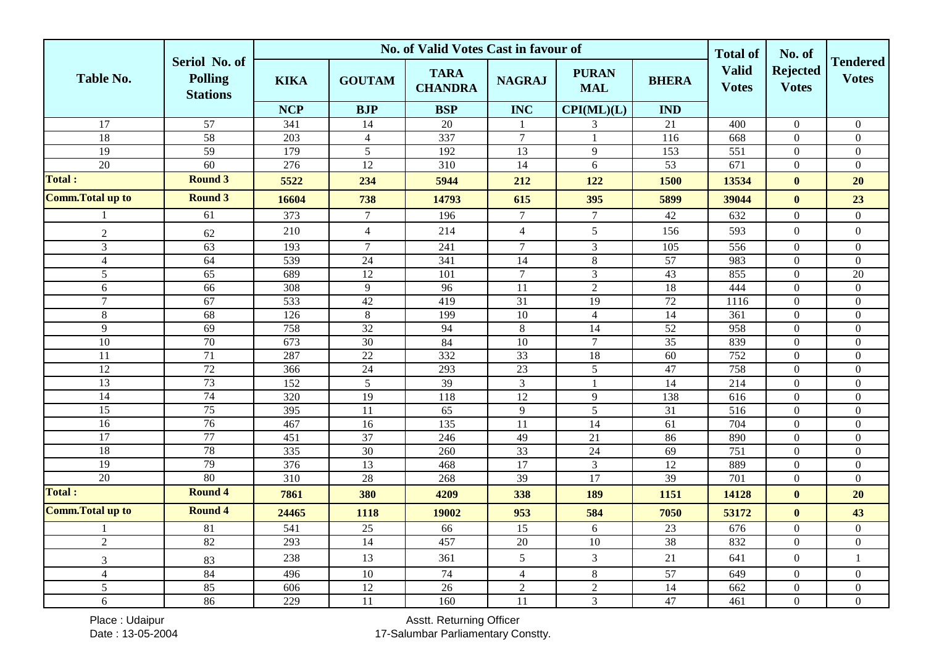|                          |                                                    |                  |                       | No. of Valid Votes Cast in favour of |                       |                            |                 | <b>Total of</b>              | No. of                          |                                    |
|--------------------------|----------------------------------------------------|------------------|-----------------------|--------------------------------------|-----------------------|----------------------------|-----------------|------------------------------|---------------------------------|------------------------------------|
| <b>Table No.</b>         | Seriol No. of<br><b>Polling</b><br><b>Stations</b> | <b>KIKA</b>      | <b>GOUTAM</b>         | <b>TARA</b><br><b>CHANDRA</b>        | <b>NAGRAJ</b>         | <b>PURAN</b><br><b>MAL</b> | <b>BHERA</b>    | <b>Valid</b><br><b>Votes</b> | <b>Rejected</b><br><b>Votes</b> | <b>Tendered</b><br><b>Votes</b>    |
|                          |                                                    | <b>NCP</b>       | <b>BJP</b>            | <b>BSP</b>                           | <b>INC</b>            | CPI(ML)(L)                 | <b>IND</b>      |                              |                                 |                                    |
| $\overline{17}$          | $\overline{57}$                                    | 341              | 14                    | $20\,$                               | $\mathbf{1}$          | 3                          | 21              | 400                          | $\boldsymbol{0}$                | $\overline{0}$                     |
| 18                       | 58                                                 | 203              | $\overline{4}$        | 337                                  | $\overline{7}$        | $\overline{1}$             | 116             | 668                          | $\boldsymbol{0}$                | $\boldsymbol{0}$                   |
| 19                       | 59                                                 | 179              | $\overline{5}$        | 192                                  | 13                    | $\overline{9}$             | 153             | $\overline{551}$             | $\mathbf{0}$                    | $\mathbf{0}$                       |
| 20                       | 60                                                 | $\overline{276}$ | $\overline{12}$       | $\overline{310}$                     | $\overline{14}$       | 6                          | $\overline{53}$ | 671                          | $\boldsymbol{0}$                | $\boldsymbol{0}$                   |
| <b>Total:</b>            | <b>Round 3</b>                                     | 5522             | 234                   | 5944                                 | 212                   | 122                        | 1500            | 13534                        | $\bf{0}$                        | 20                                 |
| <b>Comm. Total up to</b> | <b>Round 3</b>                                     | 16604            | 738                   | 14793                                | 615                   | 395                        | 5899            | 39044                        | $\bf{0}$                        | 23                                 |
|                          | 61                                                 | 373              | $\tau$                | 196                                  | $\tau$                | $\tau$                     | $42\,$          | 632                          | $\overline{0}$                  | $\boldsymbol{0}$                   |
| $\sqrt{2}$               | 62                                                 | 210              | $\overline{4}$        | 214                                  | $\overline{4}$        | $5\,$                      | 156             | 593                          | $\boldsymbol{0}$                | $\boldsymbol{0}$                   |
| $\mathfrak{Z}$           | $\overline{63}$                                    | 193              | $\tau$                | 241                                  | $\tau$                | $\mathfrak{Z}$             | 105             | 556                          | $\mathbf{0}$                    | $\boldsymbol{0}$                   |
| $\overline{4}$           | 64                                                 | 539              | $\overline{24}$       | 341                                  | 14                    | $\,8\,$                    | $\overline{57}$ | 983                          | $\mathbf{0}$                    | $\boldsymbol{0}$                   |
| 5                        | $\overline{65}$                                    | 689              | $\overline{12}$       | 101                                  | $\overline{7}$        | $\overline{3}$             | 43              | 855                          | $\mathbf{0}$                    | $\overline{20}$                    |
| 6                        | $\overline{66}$                                    | 308              | $\overline{9}$        | 96                                   | $\overline{11}$       | $\overline{2}$             | 18              | 444                          | $\overline{0}$                  | $\boldsymbol{0}$                   |
| $\overline{7}$           | 67                                                 | 533              | 42                    | 419                                  | $\overline{31}$       | 19                         | 72              | 1116                         | $\mathbf{0}$                    | $\boldsymbol{0}$                   |
| 8                        | 68                                                 | 126              | 8                     | 199                                  | $10\,$                | $\overline{4}$             | 14              | $\overline{361}$             | $\theta$                        | $\boldsymbol{0}$                   |
| 9                        | 69                                                 | 758              | $\overline{32}$       | 94                                   | $\,8\,$               | 14                         | $\overline{52}$ | 958                          | $\boldsymbol{0}$                | $\boldsymbol{0}$                   |
| $\overline{10}$          | 70                                                 | 673              | 30                    | 84                                   | 10                    | $\overline{7}$             | 35              | 839                          | $\overline{0}$                  | $\overline{0}$                     |
| 11                       | $\overline{71}$                                    | 287              | $\overline{22}$       | 332                                  | $\overline{33}$       | 18                         | 60              | 752                          | $\boldsymbol{0}$                | $\overline{0}$                     |
| 12                       | 72                                                 | 366              | 24                    | 293                                  | 23                    | $\mathfrak{S}$             | 47              | 758                          | $\boldsymbol{0}$                | $\boldsymbol{0}$                   |
| 13                       | 73                                                 | 152              | $\sqrt{5}$            | 39                                   | $\mathfrak{Z}$        | -1                         | 14              | 214                          | $\mathbf{0}$                    | $\boldsymbol{0}$                   |
| 14                       | 74                                                 | 320              | 19                    | 118                                  | 12                    | 9                          | 138             | 616                          | $\mathbf{0}$                    | $\boldsymbol{0}$                   |
| $\overline{15}$          | 75                                                 | 395              | $\overline{11}$       | $\overline{65}$                      | $\overline{9}$        | 5                          | $\overline{31}$ | $\overline{516}$             | $\mathbf{0}$                    | $\overline{0}$                     |
| 16<br>17                 | 76                                                 | 467              | 16                    | 135                                  | 11                    | 14                         | 61              | 704                          | $\boldsymbol{0}$                | $\boldsymbol{0}$                   |
| 18                       | 77<br>78                                           | 451              | $\overline{37}$       | 246                                  | 49                    | 21                         | 86              | 890                          | $\overline{0}$                  | $\overline{0}$                     |
| 19                       | 79                                                 | 335<br>376       | 30<br>$\overline{13}$ | 260<br>468                           | 33<br>$\overline{17}$ | 24<br>$\mathfrak{Z}$       | 69<br>12        | 751<br>889                   | $\boldsymbol{0}$<br>$\Omega$    | $\boldsymbol{0}$<br>$\overline{0}$ |
| 20                       | 80                                                 | 310              | 28                    | 268                                  | 39                    | 17                         | 39              | 701                          | $\boldsymbol{0}$                | $\boldsymbol{0}$                   |
| <b>Total:</b>            | <b>Round 4</b>                                     | 7861             | 380                   | 4209                                 | 338                   | 189                        | 1151            | 14128                        | $\bf{0}$                        | 20                                 |
| <b>Comm. Total up to</b> | <b>Round 4</b>                                     | 24465            | 1118                  | 19002                                | 953                   | 584                        | 7050            | 53172                        | $\bf{0}$                        | 43                                 |
|                          | 81                                                 | 541              | 25                    | 66                                   | 15                    | 6                          | 23              | 676                          | $\boldsymbol{0}$                | $\boldsymbol{0}$                   |
| $\overline{2}$           | 82                                                 | 293              | $\overline{14}$       | 457                                  | $\overline{20}$       | 10                         | 38              | 832                          | $\mathbf{0}$                    | $\boldsymbol{0}$                   |
| $\mathfrak{Z}$           | 83                                                 | 238              | 13                    | 361                                  | 5                     | $\mathfrak{Z}$             | $21\,$          | 641                          | $\boldsymbol{0}$                | $\mathbf{1}$                       |
| $\overline{4}$           | 84                                                 | 496              | 10                    | 74                                   | $\overline{4}$        | $\,8\,$                    | 57              | 649                          | $\boldsymbol{0}$                | $\overline{0}$                     |
| 5                        | 85                                                 | 606              | $\overline{12}$       | $\overline{26}$                      | $\overline{2}$        | $\overline{2}$             | 14              | 662                          | $\boldsymbol{0}$                | $\overline{0}$                     |
| $6\,$                    | 86                                                 | 229              | 11                    | 160                                  | 11                    | $\overline{3}$             | 47              | 461                          | $\boldsymbol{0}$                | $\boldsymbol{0}$                   |

Place : Udaipur Date : 13-05-2004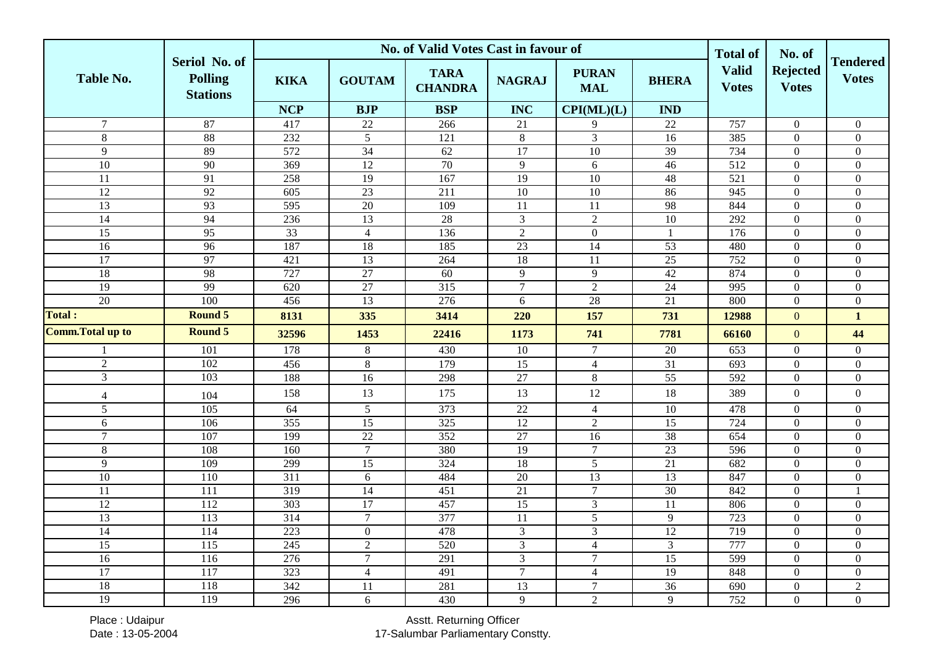|                          |                                                    |                  |                  | No. of Valid Votes Cast in favour of |                 |                            |                 | <b>Total of</b>              | No. of                          |                                 |
|--------------------------|----------------------------------------------------|------------------|------------------|--------------------------------------|-----------------|----------------------------|-----------------|------------------------------|---------------------------------|---------------------------------|
| <b>Table No.</b>         | Seriol No. of<br><b>Polling</b><br><b>Stations</b> | <b>KIKA</b>      | <b>GOUTAM</b>    | <b>TARA</b><br><b>CHANDRA</b>        | <b>NAGRAJ</b>   | <b>PURAN</b><br><b>MAL</b> | <b>BHERA</b>    | <b>Valid</b><br><b>Votes</b> | <b>Rejected</b><br><b>Votes</b> | <b>Tendered</b><br><b>Votes</b> |
|                          |                                                    | <b>NCP</b>       | <b>BJP</b>       | <b>BSP</b>                           | <b>INC</b>      | CPI(ML)(L)                 | <b>IND</b>      |                              |                                 |                                 |
| $\overline{7}$           | 87                                                 | 417              | 22               | 266                                  | 21              | 9                          | 22              | 757                          | $\boldsymbol{0}$                | $\boldsymbol{0}$                |
| $\overline{8}$           | 88                                                 | 232              | $\sqrt{5}$       | 121                                  | $\,8\,$         | $\mathfrak{Z}$             | 16              | 385                          | $\boldsymbol{0}$                | $\boldsymbol{0}$                |
| $\overline{9}$           | 89                                                 | 572              | 34               | 62                                   | 17              | 10                         | $\overline{39}$ | 734                          | $\mathbf{0}$                    | $\overline{0}$                  |
| $\overline{10}$          | 90                                                 | 369              | $\overline{12}$  | 70                                   | $\overline{9}$  | 6                          | $\overline{46}$ | 512                          | $\mathbf{0}$                    | $\overline{0}$                  |
| 11                       | 91                                                 | 258              | 19               | 167                                  | $\overline{19}$ | 10                         | 48              | $\overline{521}$             | $\boldsymbol{0}$                | $\boldsymbol{0}$                |
| 12                       | 92                                                 | $\overline{605}$ | 23               | $\overline{211}$                     | $\overline{10}$ | $\overline{10}$            | 86              | 945                          | $\overline{0}$                  | $\boldsymbol{0}$                |
| 13                       | 93                                                 | 595              | $20\,$           | 109                                  | 11              | 11                         | 98              | 844                          | $\mathbf{0}$                    | $\boldsymbol{0}$                |
| $\overline{14}$          | 94                                                 | 236              | $\overline{13}$  | $\overline{28}$                      | 3               | $\overline{2}$             | 10              | 292                          | $\overline{0}$                  | $\overline{0}$                  |
| 15                       | 95                                                 | $\overline{33}$  | $\overline{4}$   | 136                                  | $\overline{2}$  | $\boldsymbol{0}$           | $\mathbf{1}$    | 176                          | $\boldsymbol{0}$                | $\boldsymbol{0}$                |
| 16                       | 96                                                 | 187              | 18               | 185                                  | 23              | 14                         | 53              | 480                          | $\boldsymbol{0}$                | $\boldsymbol{0}$                |
| $\overline{17}$          | 97                                                 | 421              | $\overline{13}$  | 264                                  | $\overline{18}$ | 11                         | 25              | 752                          | $\mathbf{0}$                    | $\boldsymbol{0}$                |
| $\overline{18}$          | 98                                                 | 727              | 27               | 60                                   | 9               | 9                          | 42              | 874                          | $\mathbf{0}$                    | $\overline{0}$                  |
| $\overline{19}$          | 99                                                 | $\overline{620}$ | $\overline{27}$  | $\overline{315}$                     | $\overline{7}$  | $\overline{2}$             | $\overline{24}$ | 995                          | $\mathbf{0}$                    | $\boldsymbol{0}$                |
| 20                       | 100                                                | 456              | 13               | 276                                  | 6               | $28\,$                     | 21              | 800                          | $\boldsymbol{0}$                | $\boldsymbol{0}$                |
| Total:                   | <b>Round 5</b>                                     | 8131             | 335              | 3414                                 | 220             | 157                        | 731             | 12988                        | $\mathbf{0}$                    | $\mathbf{1}$                    |
| <b>Comm. Total up to</b> | <b>Round 5</b>                                     | 32596            | 1453             | 22416                                | 1173            | 741                        | 7781            | 66160                        | $\mathbf{0}$                    | 44                              |
|                          | 101                                                | 178              | $\,8\,$          | 430                                  | 10              | $\tau$                     | 20              | 653                          | $\boldsymbol{0}$                | $\boldsymbol{0}$                |
| $\overline{2}$           | 102                                                | 456              | $\,8\,$          | 179                                  | $\overline{15}$ | $\overline{4}$             | $\overline{31}$ | 693                          | $\overline{0}$                  | $\boldsymbol{0}$                |
| $\overline{3}$           | 103                                                | 188              | $\overline{16}$  | 298                                  | 27              | $\overline{8}$             | $\overline{55}$ | 592                          | $\boldsymbol{0}$                | $\boldsymbol{0}$                |
| $\overline{4}$           | 104                                                | 158              | 13               | 175                                  | 13              | 12                         | 18              | 389                          | $\overline{0}$                  | $\boldsymbol{0}$                |
| $\overline{5}$           | 105                                                | 64               | 5                | 373                                  | $\overline{22}$ | $\overline{4}$             | $\overline{10}$ | 478                          | $\mathbf{0}$                    | $\boldsymbol{0}$                |
| 6                        | 106                                                | 355              | $\overline{15}$  | 325                                  | 12              | $\overline{2}$             | $\overline{15}$ | 724                          | $\overline{0}$                  | $\boldsymbol{0}$                |
| $\tau$                   | 107                                                | 199              | $22\,$           | 352                                  | $27\,$          | 16                         | 38              | 654                          | $\boldsymbol{0}$                | $\boldsymbol{0}$                |
| $\overline{8}$           | 108                                                | 160              | $\overline{7}$   | 380                                  | 19              | $\overline{7}$             | 23              | 596                          | $\mathbf{0}$                    | $\boldsymbol{0}$                |
| 9                        | 109                                                | 299              | $\overline{15}$  | 324                                  | $\overline{18}$ | $\overline{5}$             | $\overline{21}$ | 682                          | $\boldsymbol{0}$                | $\boldsymbol{0}$                |
| $\overline{10}$          | 110                                                | $\overline{311}$ | 6                | 484                                  | $\overline{20}$ | $\overline{13}$            | 13              | 847                          | $\mathbf{0}$                    | $\overline{0}$                  |
| 11                       | 111                                                | 319              | 14               | 451                                  | 21              | $\overline{7}$             | 30              | 842                          | $\boldsymbol{0}$                | 1                               |
| $\overline{12}$          | 112                                                | 303              | 17               | 457                                  | 15              | $\mathfrak{Z}$             | 11              | 806                          | $\boldsymbol{0}$                | $\boldsymbol{0}$                |
| $\overline{13}$          | 113                                                | 314              | $\overline{7}$   | 377                                  | 11              | $\sqrt{5}$                 | 9               | 723                          | $\mathbf{0}$                    | $\boldsymbol{0}$                |
| 14                       | 114                                                | 223              | $\overline{0}$   | 478                                  | 3               | $\overline{3}$             | $\overline{12}$ | 719                          | $\overline{0}$                  | $\boldsymbol{0}$                |
| 15                       | 115                                                | 245              | $\overline{2}$   | 520                                  | $\overline{3}$  | $\overline{4}$             | $\overline{3}$  | 777                          | $\mathbf{0}$                    | $\boldsymbol{0}$                |
| 16                       | 116                                                | 276              | $\boldsymbol{7}$ | 291                                  | $\mathfrak{Z}$  | $\boldsymbol{7}$           | 15              | 599                          | $\boldsymbol{0}$                | $\boldsymbol{0}$                |
| $\overline{17}$          | 117                                                | 323              | $\overline{4}$   | 491                                  | $\overline{7}$  | $\overline{4}$             | $\overline{19}$ | 848                          | $\boldsymbol{0}$                | $\boldsymbol{0}$                |
| 18                       | 118                                                | $\overline{342}$ | $\overline{11}$  | 281                                  | $\overline{13}$ | $\tau$                     | $\overline{36}$ | 690                          | $\mathbf{0}$                    | $\overline{2}$                  |
| $\overline{19}$          | 119                                                | 296              | 6                | 430                                  | 9               | $\overline{2}$             | 9               | 752                          | $\overline{0}$                  | $\overline{0}$                  |

Place : Udaipur Date : 13-05-2004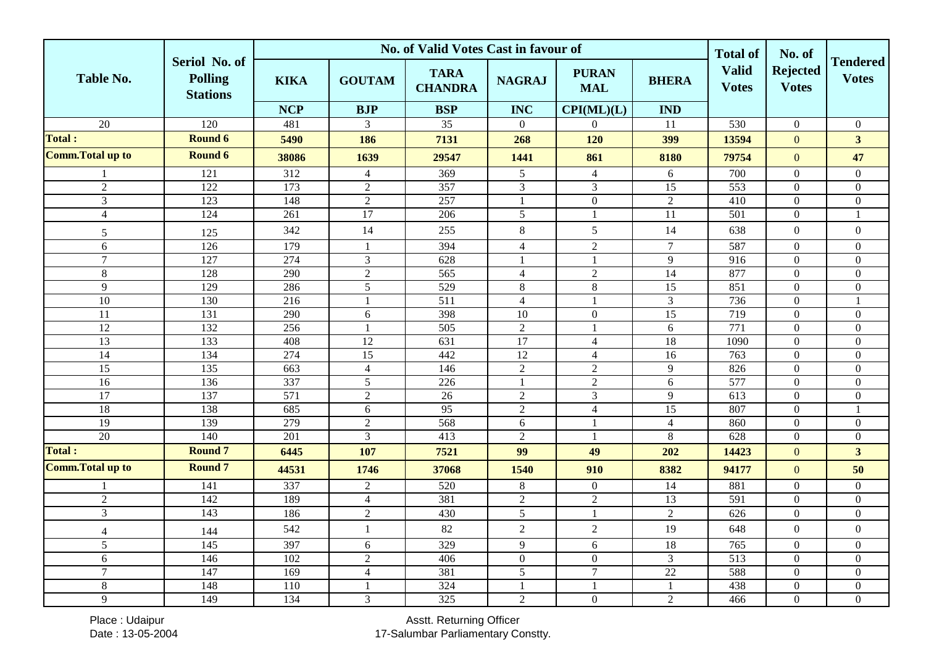|                          |                                                    |             |                         | No. of Valid Votes Cast in favour of |                  |                            |                 | <b>Total of</b>              | No. of                          |                                 |
|--------------------------|----------------------------------------------------|-------------|-------------------------|--------------------------------------|------------------|----------------------------|-----------------|------------------------------|---------------------------------|---------------------------------|
| <b>Table No.</b>         | Seriol No. of<br><b>Polling</b><br><b>Stations</b> | <b>KIKA</b> | <b>GOUTAM</b>           | <b>TARA</b><br><b>CHANDRA</b>        | <b>NAGRAJ</b>    | <b>PURAN</b><br><b>MAL</b> | <b>BHERA</b>    | <b>Valid</b><br><b>Votes</b> | <b>Rejected</b><br><b>Votes</b> | <b>Tendered</b><br><b>Votes</b> |
|                          |                                                    | <b>NCP</b>  | <b>BJP</b>              | <b>BSP</b>                           | <b>INC</b>       | CPI(ML)(L)                 | <b>IND</b>      |                              |                                 |                                 |
| $\overline{20}$          | 120                                                | 481         | 3                       | $\overline{35}$                      | $\overline{0}$   | $\overline{0}$             | 11              | 530                          | $\boldsymbol{0}$                | $\boldsymbol{0}$                |
| <b>Total:</b>            | Round 6                                            | 5490        | 186                     | 7131                                 | 268              | 120                        | 399             | 13594                        | $\boldsymbol{0}$                | 3 <sup>1</sup>                  |
| <b>Comm. Total up to</b> | Round 6                                            | 38086       | 1639                    | 29547                                | 1441             | 861                        | 8180            | 79754                        | $\mathbf{0}$                    | 47                              |
| 1                        | 121                                                | 312         | $\overline{4}$          | 369                                  | $5\,$            | $\overline{4}$             | 6               | 700                          | $\overline{0}$                  | $\overline{0}$                  |
| $\overline{2}$           | 122                                                | 173         | $\overline{2}$          | 357                                  | $\mathfrak{Z}$   | $\overline{3}$             | 15              | 553                          | $\boldsymbol{0}$                | $\boldsymbol{0}$                |
| $\overline{3}$           | 123                                                | 148         | $\sqrt{2}$              | 257                                  | $\mathbf{1}$     | $\boldsymbol{0}$           | $\sqrt{2}$      | 410                          | $\mathbf{0}$                    | $\boldsymbol{0}$                |
| $\overline{4}$           | 124                                                | 261         | 17                      | 206                                  | $\overline{5}$   | $\mathbf{1}$               | $\overline{11}$ | 501                          | $\boldsymbol{0}$                | 1                               |
| 5                        | 125                                                | 342         | 14                      | 255                                  | $8\,$            | 5                          | 14              | 638                          | $\boldsymbol{0}$                | $\boldsymbol{0}$                |
| 6                        | 126                                                | 179         | $\mathbf{1}$            | 394                                  | $\overline{4}$   | $\boldsymbol{2}$           | $\tau$          | 587                          | $\boldsymbol{0}$                | $\overline{0}$                  |
| $\overline{7}$           | 127                                                | 274         | $\overline{\mathbf{3}}$ | 628                                  | 1                | $\mathbf{1}$               | 9               | $\overline{916}$             | $\overline{0}$                  | $\boldsymbol{0}$                |
| $\,8\,$                  | 128                                                | 290         | $\overline{2}$          | $\overline{565}$                     | $\overline{4}$   | $\overline{2}$             | $\overline{14}$ | 877                          | $\boldsymbol{0}$                | $\boldsymbol{0}$                |
| 9                        | 129                                                | 286         | 5                       | 529                                  | $8\,$            | $\,8\,$                    | $\overline{15}$ | 851                          | $\mathbf{0}$                    | $\boldsymbol{0}$                |
| 10                       | 130                                                | 216         | $\mathbf{1}$            | 511                                  | $\overline{4}$   | $\overline{1}$             | $\mathfrak{Z}$  | 736                          | $\boldsymbol{0}$                | 1                               |
| 11                       | 131                                                | 290         | 6                       | 398                                  | 10               | $\mathbf{0}$               | $\overline{15}$ | 719                          | $\overline{0}$                  | $\boldsymbol{0}$                |
| $\overline{12}$          | 132                                                | 256         | $\mathbf{1}$            | 505                                  | $\overline{2}$   |                            | 6               | 771                          | $\mathbf{0}$                    | $\boldsymbol{0}$                |
| $\overline{13}$          | 133                                                | 408         | $\overline{12}$         | 631                                  | $\overline{17}$  | $\overline{4}$             | $\overline{18}$ | 1090                         | $\overline{0}$                  | $\overline{0}$                  |
| $\overline{14}$          | 134                                                | 274         | 15                      | 442                                  | $\overline{12}$  | $\overline{4}$             | $\overline{16}$ | 763                          | $\mathbf{0}$                    | $\boldsymbol{0}$                |
| 15                       | 135                                                | 663         | $\overline{4}$          | 146                                  | $\boldsymbol{2}$ | $\sqrt{2}$                 | 9               | 826                          | $\boldsymbol{0}$                | $\boldsymbol{0}$                |
| 16                       | 136                                                | 337         | $\mathfrak{S}$          | 226                                  | 1                | $\sqrt{2}$                 | $\sqrt{6}$      | 577                          | $\boldsymbol{0}$                | $\boldsymbol{0}$                |
| 17                       | 137                                                | 571         | $\overline{2}$          | 26                                   | $\sqrt{2}$       | $\overline{3}$             | 9               | 613                          | $\boldsymbol{0}$                | $\boldsymbol{0}$                |
| $\overline{18}$          | 138                                                | 685         | 6                       | 95                                   | $\overline{2}$   | $\overline{4}$             | $\overline{15}$ | 807                          | $\mathbf{0}$                    | $\mathbf{1}$                    |
| $\overline{19}$          | 139                                                | 279         | $\overline{2}$          | 568                                  | 6                | $\mathbf{1}$               | $\overline{4}$  | 860                          | $\mathbf{0}$                    | $\boldsymbol{0}$                |
| $\overline{20}$          | 140                                                | 201         | $\mathfrak{Z}$          | 413                                  | $\sqrt{2}$       | $\overline{1}$             | $\,8\,$         | 628                          | $\boldsymbol{0}$                | $\overline{0}$                  |
| <b>Total:</b>            | <b>Round 7</b>                                     | 6445        | 107                     | 7521                                 | 99               | 49                         | 202             | 14423                        | $\mathbf{0}$                    | $\overline{\mathbf{3}}$         |
| <b>Comm. Total up to</b> | <b>Round 7</b>                                     | 44531       | 1746                    | 37068                                | 1540             | 910                        | 8382            | 94177                        | $\mathbf{0}$                    | 50                              |
| 1                        | 141                                                | 337         | $\sqrt{2}$              | 520                                  | $8\,$            | $\boldsymbol{0}$           | 14              | 881                          | $\boldsymbol{0}$                | $\overline{0}$                  |
| $\overline{2}$           | 142                                                | 189         | $\overline{4}$          | 381                                  | $\overline{2}$   | $\overline{2}$             | 13              | 591                          | $\mathbf{0}$                    | $\overline{0}$                  |
| 3                        | 143                                                | 186         | $\sqrt{2}$              | 430                                  | $\mathfrak{S}$   | $\mathbf{1}$               | $\sqrt{2}$      | 626                          | $\boldsymbol{0}$                | $\boldsymbol{0}$                |
| $\overline{4}$           | 144                                                | 542         | $\mathbf{1}$            | 82                                   | $\sqrt{2}$       | $\overline{2}$             | 19              | 648                          | $\boldsymbol{0}$                | $\overline{0}$                  |
| 5                        | 145                                                | 397         | 6                       | 329                                  | 9                | 6                          | 18              | 765                          | $\boldsymbol{0}$                | $\boldsymbol{0}$                |
| $6\,$                    | 146                                                | 102         | $\sqrt{2}$              | 406                                  | $\boldsymbol{0}$ | $\boldsymbol{0}$           | $\mathfrak{Z}$  | 513                          | $\boldsymbol{0}$                | $\boldsymbol{0}$                |
| $\overline{7}$           | 147                                                | 169         | $\overline{4}$          | 381                                  | 5                | $\boldsymbol{7}$           | 22              | 588                          | $\boldsymbol{0}$                | $\boldsymbol{0}$                |
| $\,8\,$                  | 148                                                | 110         | $\overline{1}$          | 324                                  | $\mathbf{1}$     | $\overline{1}$             | $\mathbf{1}$    | 438                          | $\mathbf{0}$                    | $\boldsymbol{0}$                |
| 9                        | 149                                                | 134         | $\overline{3}$          | 325                                  | $\overline{2}$   | $\mathbf{0}$               | $\overline{2}$  | 466                          | $\boldsymbol{0}$                | $\overline{0}$                  |

Place : Udaipur Date : 13-05-2004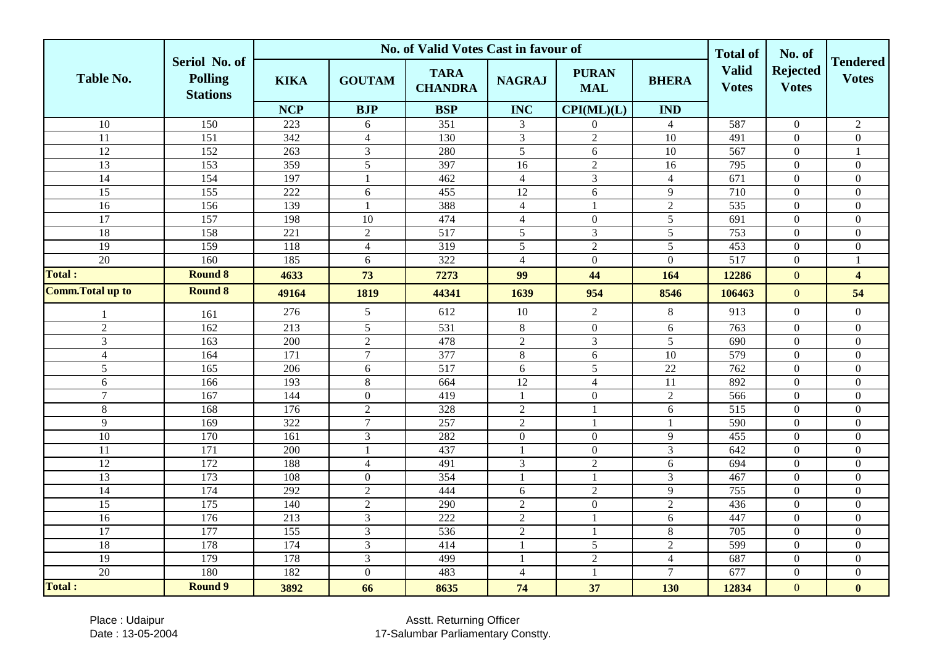|                          |                                                    |                  |                         | No. of Valid Votes Cast in favour of |                  |                            |                 | <b>Total of</b>              | No. of                          |                                 |
|--------------------------|----------------------------------------------------|------------------|-------------------------|--------------------------------------|------------------|----------------------------|-----------------|------------------------------|---------------------------------|---------------------------------|
| <b>Table No.</b>         | Seriol No. of<br><b>Polling</b><br><b>Stations</b> | <b>KIKA</b>      | <b>GOUTAM</b>           | <b>TARA</b><br><b>CHANDRA</b>        | <b>NAGRAJ</b>    | <b>PURAN</b><br><b>MAL</b> | <b>BHERA</b>    | <b>Valid</b><br><b>Votes</b> | <b>Rejected</b><br><b>Votes</b> | <b>Tendered</b><br><b>Votes</b> |
|                          |                                                    | <b>NCP</b>       | <b>BJP</b>              | <b>BSP</b>                           | <b>INC</b>       | CPI(ML)(L)                 | <b>IND</b>      |                              |                                 |                                 |
| $\overline{10}$          | 150                                                | 223              | 6                       | 351                                  | 3                | $\boldsymbol{0}$           | $\overline{4}$  | 587                          | $\boldsymbol{0}$                | $\overline{c}$                  |
| 11                       | $\overline{151}$                                   | 342              | $\overline{4}$          | 130                                  | $\mathfrak{Z}$   | $\sqrt{2}$                 | 10              | 491                          | $\mathbf{0}$                    | $\boldsymbol{0}$                |
| 12                       | 152                                                | 263              | $\mathfrak{Z}$          | 280                                  | $\mathfrak{S}$   | 6                          | 10              | 567                          | $\boldsymbol{0}$                |                                 |
| 13                       | 153                                                | 359              | $\overline{5}$          | 397                                  | $\overline{16}$  | $\overline{2}$             | $\overline{16}$ | 795                          | $\mathbf{0}$                    | $\boldsymbol{0}$                |
| 14                       | 154                                                | 197              | $\overline{\mathbf{1}}$ | 462                                  | $\overline{4}$   | $\overline{3}$             | $\overline{4}$  | $\overline{671}$             | $\boldsymbol{0}$                | $\overline{0}$                  |
| 15                       | 155                                                | 222              | $6\,$                   | 455                                  | $\overline{12}$  | $6\,$                      | $\overline{9}$  | 710                          | $\boldsymbol{0}$                | $\boldsymbol{0}$                |
| 16                       | 156                                                | 139              | $\overline{1}$          | 388                                  | $\overline{4}$   |                            | $\sqrt{2}$      | 535                          | $\boldsymbol{0}$                | $\overline{0}$                  |
| 17                       | 157                                                | 198              | $10\,$                  | 474                                  | $\overline{4}$   | $\boldsymbol{0}$           | $\sqrt{5}$      | 691                          | $\boldsymbol{0}$                | $\boldsymbol{0}$                |
| 18                       | 158                                                | 221              | $\sqrt{2}$              | 517                                  | 5                | $\mathfrak{Z}$             | $\sqrt{5}$      | 753                          | $\boldsymbol{0}$                | $\boldsymbol{0}$                |
| $\overline{19}$          | 159                                                | 118              | $\overline{4}$          | 319                                  | 5                | $\overline{2}$             | 5               | 453                          | $\mathbf{0}$                    | $\boldsymbol{0}$                |
| 20                       | 160                                                | 185              | 6                       | 322                                  | $\overline{4}$   | $\mathbf{0}$               | $\mathbf{0}$    | 517                          | $\mathbf{0}$                    | 1                               |
| <b>Total:</b>            | <b>Round 8</b>                                     | 4633             | 73                      | 7273                                 | 99               | 44                         | 164             | 12286                        | $\mathbf{0}$                    | $\overline{\mathbf{4}}$         |
| <b>Comm. Total up to</b> | <b>Round 8</b>                                     | 49164            | 1819                    | 44341                                | 1639             | 954                        | 8546            | 106463                       | $\boldsymbol{0}$                | 54                              |
| -1                       | 161                                                | 276              | 5                       | 612                                  | $10\,$           | $\overline{2}$             | $\,8\,$         | 913                          | $\boldsymbol{0}$                | $\overline{0}$                  |
| $\sqrt{2}$               | 162                                                | $\overline{213}$ | $\sqrt{5}$              | 531                                  | $8\,$            | $\boldsymbol{0}$           | $6\,$           | 763                          | $\boldsymbol{0}$                | $\boldsymbol{0}$                |
| $\mathfrak{Z}$           | 163                                                | 200              | $\overline{2}$          | 478                                  | $\sqrt{2}$       | $\mathfrak{Z}$             | $\sqrt{5}$      | 690                          | $\boldsymbol{0}$                | $\boldsymbol{0}$                |
| $\overline{4}$           | 164                                                | 171              | $\overline{7}$          | 377                                  | $8\,$            | $\sqrt{6}$                 | $\overline{10}$ | 579                          | $\mathbf{0}$                    | $\boldsymbol{0}$                |
| 5                        | 165                                                | 206              | 6                       | 517                                  | 6                | 5                          | 22              | 762                          | $\mathbf{0}$                    | $\overline{0}$                  |
| 6                        | 166                                                | 193              | $\,8\,$                 | 664                                  | $\overline{12}$  | $\overline{4}$             | $\overline{11}$ | 892                          | $\boldsymbol{0}$                | $\overline{0}$                  |
| $\overline{7}$           | 167                                                | 144              | $\overline{0}$          | 419                                  | $\mathbf{1}$     | $\boldsymbol{0}$           | $\overline{2}$  | 566                          | $\overline{0}$                  | $\overline{0}$                  |
| $\,8\,$                  | 168                                                | 176              | $\overline{2}$          | 328                                  | $\sqrt{2}$       | $\overline{1}$             | $6\,$           | $\overline{515}$             | $\mathbf{0}$                    | $\boldsymbol{0}$                |
| 9                        | 169                                                | $\overline{322}$ | $\overline{7}$          | 257                                  | $\overline{2}$   | $\mathbf{1}$               | $\mathbf{1}$    | 590                          | $\boldsymbol{0}$                | $\boldsymbol{0}$                |
| 10                       | 170                                                | 161              | $\mathfrak{Z}$          | 282                                  | $\boldsymbol{0}$ | $\boldsymbol{0}$           | 9               | 455                          | $\boldsymbol{0}$                | $\boldsymbol{0}$                |
| $\overline{11}$          | 171                                                | 200              | $\overline{1}$          | 437                                  | $\mathbf{1}$     | $\boldsymbol{0}$           | $\overline{3}$  | 642                          | $\boldsymbol{0}$                | $\boldsymbol{0}$                |
| $\overline{12}$          | 172                                                | 188              | $\overline{4}$          | 491                                  | $\mathfrak{Z}$   | $\overline{2}$             | 6               | 694                          | $\mathbf{0}$                    | $\overline{0}$                  |
| 13                       | 173                                                | 108              | $\mathbf{0}$            | 354                                  | $\mathbf{1}$     | $\overline{1}$             | $\overline{3}$  | 467                          | $\overline{0}$                  | $\overline{0}$                  |
| 14                       | 174                                                | 292              | $\overline{2}$          | 444                                  | $6\,$            | $\overline{2}$             | 9               | 755                          | $\boldsymbol{0}$                | $\boldsymbol{0}$                |
| $\overline{15}$          | 175                                                | 140              | $\sqrt{2}$              | 290                                  | $\sqrt{2}$       | $\mathbf{0}$               | $\overline{2}$  | 436                          | $\mathbf{0}$                    | $\overline{0}$                  |
| 16                       | 176                                                | 213              | $\overline{3}$          | 222                                  | $\overline{2}$   | $\mathbf{1}$               | 6               | 447                          | $\mathbf{0}$                    | $\overline{0}$                  |
| $\overline{17}$          | 177                                                | 155              | $\mathfrak{Z}$          | 536                                  | $\sqrt{2}$       | $\mathbf{1}$               | $\,8\,$         | $\overline{705}$             | $\mathbf{0}$                    | $\boldsymbol{0}$                |
| $\overline{18}$          | 178                                                | 174              | $\mathfrak{Z}$          | 414                                  | $\mathbf{1}$     | $\sqrt{5}$                 | $\sqrt{2}$      | 599                          | $\boldsymbol{0}$                | $\boldsymbol{0}$                |
| 19                       | 179                                                | 178              | $\overline{3}$          | 499                                  | $\mathbf{1}$     | $\overline{2}$             | $\overline{4}$  | 687                          | $\boldsymbol{0}$                | $\boldsymbol{0}$                |
| 20                       | 180                                                | 182              | $\boldsymbol{0}$        | 483                                  | $\overline{4}$   | $\overline{1}$             | $\overline{7}$  | 677                          | $\boldsymbol{0}$                | $\boldsymbol{0}$                |
| <b>Total:</b>            | <b>Round 9</b>                                     | 3892             | 66                      | 8635                                 | 74               | 37                         | 130             | 12834                        | $\mathbf{0}$                    | $\bf{0}$                        |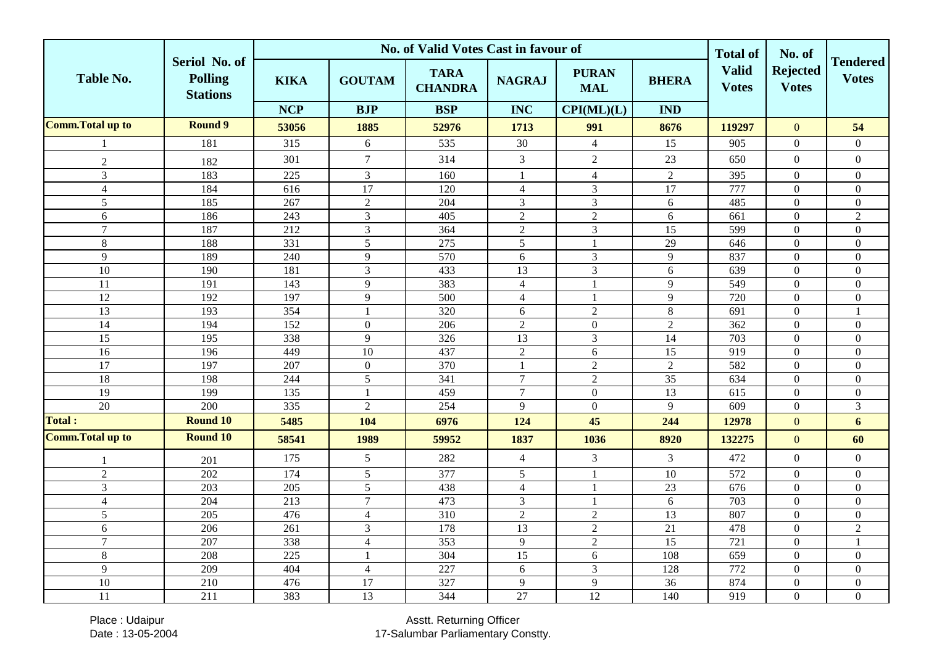|                          |                                                    |                  | No. of Valid Votes Cast in favour of | <b>Total of</b>               | No. of           |                            |                 |                              |                                 |                                 |
|--------------------------|----------------------------------------------------|------------------|--------------------------------------|-------------------------------|------------------|----------------------------|-----------------|------------------------------|---------------------------------|---------------------------------|
| <b>Table No.</b>         | Seriol No. of<br><b>Polling</b><br><b>Stations</b> | <b>KIKA</b>      | <b>GOUTAM</b>                        | <b>TARA</b><br><b>CHANDRA</b> | <b>NAGRAJ</b>    | <b>PURAN</b><br><b>MAL</b> | <b>BHERA</b>    | <b>Valid</b><br><b>Votes</b> | <b>Rejected</b><br><b>Votes</b> | <b>Tendered</b><br><b>Votes</b> |
|                          |                                                    | <b>NCP</b>       | <b>BJP</b>                           | <b>BSP</b>                    | <b>INC</b>       | CPI(ML)(L)                 | <b>IND</b>      |                              |                                 |                                 |
| <b>Comm. Total up to</b> | <b>Round 9</b>                                     | 53056            | 1885                                 | 52976                         | 1713             | 991                        | 8676            | 119297                       | $\overline{0}$                  | 54                              |
|                          | 181                                                | 315              | 6                                    | 535                           | 30               | $\overline{4}$             | $\overline{15}$ | 905                          | $\boldsymbol{0}$                | $\overline{0}$                  |
| $\sqrt{2}$               | 182                                                | 301              | $\tau$                               | 314                           | $\mathfrak{Z}$   | $\sqrt{2}$                 | 23              | 650                          | $\boldsymbol{0}$                | $\boldsymbol{0}$                |
| $\overline{3}$           | 183                                                | 225              | $\mathfrak{Z}$                       | 160                           | $\mathbf{1}$     | $\overline{4}$             | $\overline{2}$  | 395                          | $\boldsymbol{0}$                | $\boldsymbol{0}$                |
| $\overline{4}$           | 184                                                | $\overline{616}$ | 17                                   | 120                           | $\overline{4}$   | $\overline{3}$             | $\overline{17}$ | 777                          | $\overline{0}$                  | $\overline{0}$                  |
| 5                        | 185                                                | 267              | $\sqrt{2}$                           | 204                           | $\overline{3}$   | $\mathfrak{Z}$             | 6               | 485                          | $\overline{0}$                  | $\boldsymbol{0}$                |
| 6                        | 186                                                | 243              | $\overline{3}$                       | 405                           | $\sqrt{2}$       | $\overline{2}$             | 6               | 661                          | $\boldsymbol{0}$                | $\overline{2}$                  |
| $\overline{7}$           | 187                                                | 212              | $\mathfrak{Z}$                       | 364                           | $\sqrt{2}$       | 3                          | 15              | 599                          | $\mathbf{0}$                    | $\boldsymbol{0}$                |
| $\,8\,$                  | 188                                                | 331              | $\overline{5}$                       | 275                           | $\overline{5}$   |                            | $\overline{29}$ | 646                          | $\overline{0}$                  | $\overline{0}$                  |
| 9                        | 189                                                | 240              | $\overline{9}$                       | 570                           | $\sqrt{6}$       | $\mathfrak{Z}$             | $\overline{9}$  | 837                          | $\overline{0}$                  | $\boldsymbol{0}$                |
| 10                       | 190                                                | 181              | $\mathfrak{Z}$                       | 433                           | 13               | $\overline{3}$             | 6               | 639                          | $\boldsymbol{0}$                | $\boldsymbol{0}$                |
| 11                       | 191                                                | 143              | 9                                    | 383                           | $\overline{4}$   | $\mathbf{1}$               | 9               | 549                          | $\boldsymbol{0}$                | $\boldsymbol{0}$                |
| $\overline{12}$          | 192                                                | 197              | 9                                    | 500                           | $\overline{4}$   | $\mathbf{1}$               | 9               | 720                          | $\overline{0}$                  | $\boldsymbol{0}$                |
| 13                       | 193                                                | 354              |                                      | 320                           | $6\,$            | $\overline{2}$             | $8\,$           | 691                          | $\overline{0}$                  |                                 |
| $\overline{14}$          | 194                                                | 152              | $\mathbf{0}$                         | $\overline{206}$              | $\sqrt{2}$       | $\mathbf{0}$               | $\overline{2}$  | 362                          | $\overline{0}$                  | $\boldsymbol{0}$                |
| $\overline{15}$          | 195                                                | 338              | $\overline{9}$                       | $\frac{326}{ }$               | $\overline{13}$  | $\overline{3}$             | $\overline{14}$ | 703                          | $\overline{0}$                  | $\mathbf{0}$                    |
| 16                       | 196                                                | 449              | $\overline{10}$                      | 437                           | $\boldsymbol{2}$ | 6                          | 15              | 919                          | $\overline{0}$                  | $\overline{0}$                  |
| $\overline{17}$          | 197                                                | 207              | $\mathbf{0}$                         | 370                           | $\mathbf{1}$     | $\overline{2}$             | $\sqrt{2}$      | 582                          | $\Omega$                        | $\boldsymbol{0}$                |
| $\overline{18}$          | 198                                                | 244              | $\overline{5}$                       | 341                           | $\overline{7}$   | $\overline{2}$             | $\overline{35}$ | 634                          | $\boldsymbol{0}$                | $\boldsymbol{0}$                |
| 19                       | 199                                                | $\overline{135}$ | $\overline{1}$                       | 459                           | $\overline{7}$   | $\mathbf{0}$               | $\overline{13}$ | 615                          | $\overline{0}$                  | $\overline{0}$                  |
| $\overline{20}$          | $\overline{200}$                                   | 335              | $\overline{2}$                       | 254                           | $\overline{9}$   | $\overline{0}$             | 9               | $\overline{609}$             | $\boldsymbol{0}$                | $\overline{3}$                  |
| <b>Total:</b>            | <b>Round 10</b>                                    | 5485             | 104                                  | 6976                          | 124              | 45                         | 244             | 12978                        | $\overline{0}$                  | 6                               |
| <b>Comm. Total up to</b> | <b>Round 10</b>                                    | 58541            | 1989                                 | 59952                         | 1837             | 1036                       | 8920            | 132275                       | $\overline{0}$                  | 60                              |
|                          | 201                                                | 175              | 5                                    | 282                           | $\overline{4}$   | 3                          | $\overline{3}$  | 472                          | $\boldsymbol{0}$                | $\boldsymbol{0}$                |
| $\overline{c}$           | 202                                                | 174              | $\sqrt{5}$                           | 377                           | 5                |                            | 10              | 572                          | $\boldsymbol{0}$                | $\boldsymbol{0}$                |
| 3                        | 203                                                | 205              | $5\phantom{.0}$                      | 438                           | $\overline{4}$   | $\overline{1}$             | 23              | 676                          | $\boldsymbol{0}$                | $\boldsymbol{0}$                |
| $\overline{4}$           | 204                                                | 213              | $\overline{7}$                       | 473                           | $\mathfrak{Z}$   | $\mathbf{1}$               | 6               | 703                          | $\overline{0}$                  | $\boldsymbol{0}$                |
| 5                        | 205                                                | 476              | $\overline{4}$                       | 310                           | $\overline{2}$   | $\overline{2}$             | $\overline{13}$ | 807                          | $\overline{0}$                  | $\boldsymbol{0}$                |
| 6                        | 206                                                | $\overline{261}$ | $\overline{3}$                       | 178                           | $\overline{13}$  | $\overline{2}$             | 21              | 478                          | $\boldsymbol{0}$                | $\sqrt{2}$                      |
| $\tau$                   | 207                                                | 338              | $\overline{4}$                       | 353                           | 9                | $\overline{2}$             | $\overline{15}$ | $\overline{721}$             | $\boldsymbol{0}$                | 1                               |
| $8\,$                    | 208                                                | $\overline{225}$ | $\mathbf{1}$                         | 304                           | 15               | 6                          | 108             | 659                          | $\boldsymbol{0}$                | $\boldsymbol{0}$                |
| $\overline{9}$           | 209                                                | 404              | $\overline{4}$                       | 227                           | $6\,$            | $\overline{3}$             | 128             | 772                          | $\boldsymbol{0}$                | $\overline{0}$                  |
| $\overline{10}$          | 210                                                | 476              | $\overline{17}$                      | 327                           | 9                | 9                          | $\overline{36}$ | 874                          | $\boldsymbol{0}$                | $\boldsymbol{0}$                |
| 11                       | 211                                                | 383              | 13                                   | 344                           | 27               | 12                         | 140             | 919                          | $\boldsymbol{0}$                | $\overline{0}$                  |